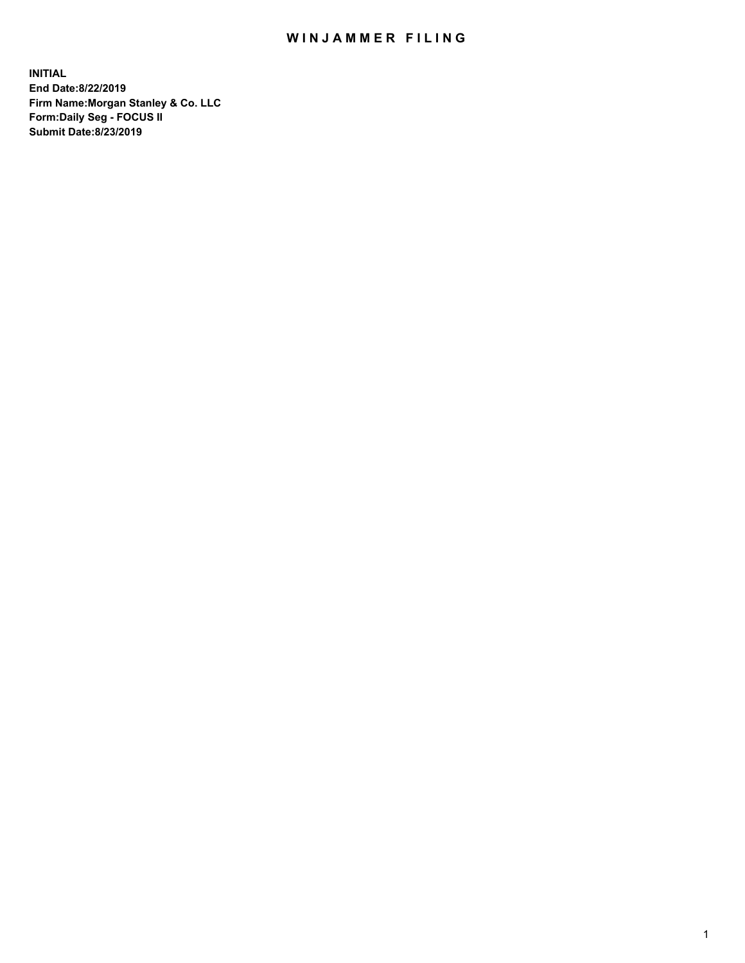## WIN JAMMER FILING

**INITIAL End Date:8/22/2019 Firm Name:Morgan Stanley & Co. LLC Form:Daily Seg - FOCUS II Submit Date:8/23/2019**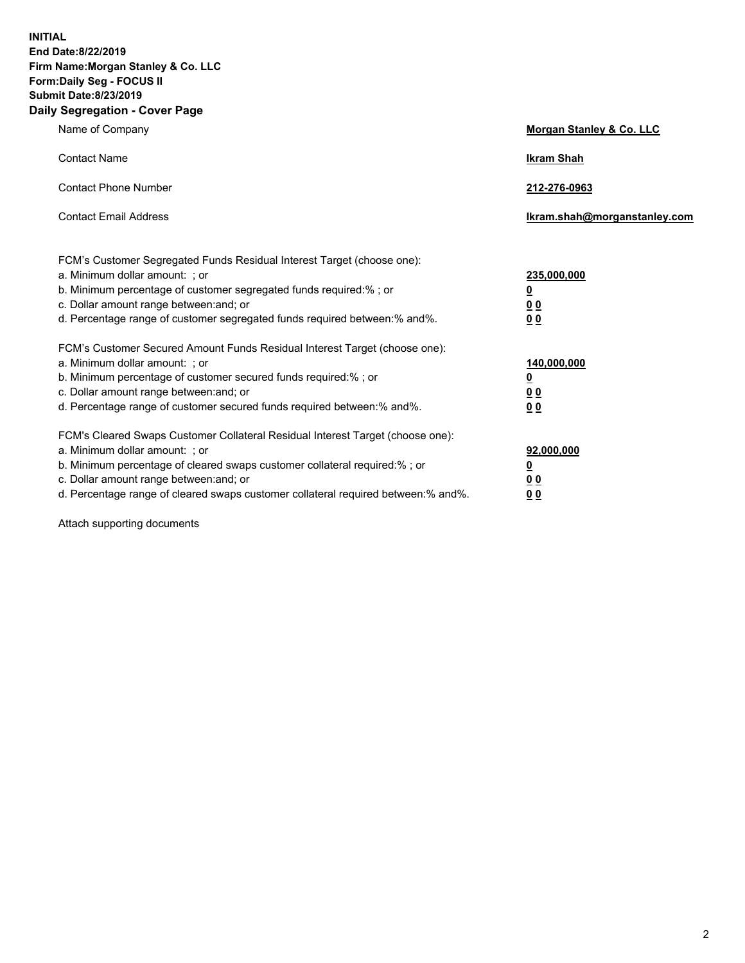**INITIAL End Date:8/22/2019 Firm Name:Morgan Stanley & Co. LLC Form:Daily Seg - FOCUS II Submit Date:8/23/2019 Daily Segregation - Cover Page**

| Name of Company                                                                                                                                                                                                                                                                                                               | Morgan Stanley & Co. LLC                                    |
|-------------------------------------------------------------------------------------------------------------------------------------------------------------------------------------------------------------------------------------------------------------------------------------------------------------------------------|-------------------------------------------------------------|
| <b>Contact Name</b>                                                                                                                                                                                                                                                                                                           | <b>Ikram Shah</b>                                           |
| <b>Contact Phone Number</b>                                                                                                                                                                                                                                                                                                   | 212-276-0963                                                |
| <b>Contact Email Address</b>                                                                                                                                                                                                                                                                                                  | Ikram.shah@morganstanley.com                                |
| FCM's Customer Segregated Funds Residual Interest Target (choose one):<br>a. Minimum dollar amount: ; or<br>b. Minimum percentage of customer segregated funds required:% ; or<br>c. Dollar amount range between: and; or<br>d. Percentage range of customer segregated funds required between:% and%.                        | 235,000,000<br><u>0</u><br><u>00</u><br>0 <sup>0</sup>      |
| FCM's Customer Secured Amount Funds Residual Interest Target (choose one):<br>a. Minimum dollar amount: ; or<br>b. Minimum percentage of customer secured funds required:%; or<br>c. Dollar amount range between: and; or<br>d. Percentage range of customer secured funds required between:% and%.                           | 140,000,000<br><u>0</u><br>0 <sub>0</sub><br>0 <sub>0</sub> |
| FCM's Cleared Swaps Customer Collateral Residual Interest Target (choose one):<br>a. Minimum dollar amount: ; or<br>b. Minimum percentage of cleared swaps customer collateral required:%; or<br>c. Dollar amount range between: and; or<br>d. Percentage range of cleared swaps customer collateral required between:% and%. | 92,000,000<br><u>0</u><br>0 Q<br>00                         |

Attach supporting documents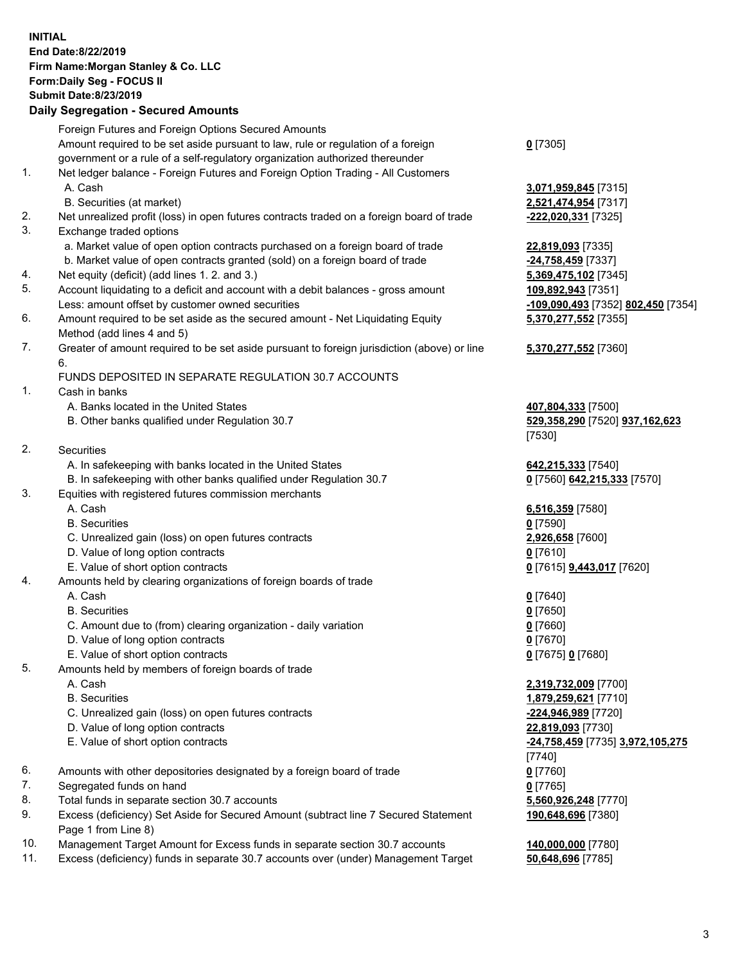## **INITIAL End Date:8/22/2019 Firm Name:Morgan Stanley & Co. LLC Form:Daily Seg - FOCUS II Submit Date:8/23/2019 Daily Segregation - Secured Amounts**

Foreign Futures and Foreign Options Secured Amounts Amount required to be set aside pursuant to law, rule or regulation of a foreign government or a rule of a self-regulatory organization authorized thereunder 1. Net ledger balance - Foreign Futures and Foreign Option Trading - All Customers A. Cash **3,071,959,845** [7315] B. Securities (at market) **2,521,474,954** [7317] 2. Net unrealized profit (loss) in open futures contracts traded on a foreign board of trade **-222,020,331** [7325] 3. Exchange traded options a. Market value of open option contracts purchased on a foreign board of trade **22,819,093** [7335] b. Market value of open contracts granted (sold) on a foreign board of trade **-24,758,459** [7337] 4. Net equity (deficit) (add lines 1. 2. and 3.) **5,369,475,102** [7345] 5. Account liquidating to a deficit and account with a debit balances - gross amount **109,892,943** [7351] Less: amount offset by customer owned securities **-109,090,493** [7352] **802,450** [7354] 6. Amount required to be set aside as the secured amount - Net Liquidating Equity Method (add lines 4 and 5) 7. Greater of amount required to be set aside pursuant to foreign jurisdiction (above) or line 6. FUNDS DEPOSITED IN SEPARATE REGULATION 30.7 ACCOUNTS 1. Cash in banks A. Banks located in the United States **407,804,333** [7500] B. Other banks qualified under Regulation 30.7 **529,358,290** [7520] **937,162,623** [7530] 2. Securities A. In safekeeping with banks located in the United States **642,215,333** [7540] B. In safekeeping with other banks qualified under Regulation 30.7 **0** [7560] **642,215,333** [7570] 3. Equities with registered futures commission merchants A. Cash **6,516,359** [7580] B. Securities **0** [7590] C. Unrealized gain (loss) on open futures contracts **2,926,658** [7600] D. Value of long option contracts **0** [7610] E. Value of short option contracts **0** [7615] **9,443,017** [7620] 4. Amounts held by clearing organizations of foreign boards of trade A. Cash **0** [7640] B. Securities **0** [7650] C. Amount due to (from) clearing organization - daily variation **0** [7660] D. Value of long option contracts **0** [7670] E. Value of short option contracts **0** [7675] **0** [7680] 5. Amounts held by members of foreign boards of trade A. Cash **2,319,732,009** [7700] B. Securities **1,879,259,621** [7710] C. Unrealized gain (loss) on open futures contracts **-224,946,989** [7720] D. Value of long option contracts **22,819,093** [7730] E. Value of short option contracts **-24,758,459** [7735] **3,972,105,275** [7740] 6. Amounts with other depositories designated by a foreign board of trade **0** [7760] 7. Segregated funds on hand **0** [7765] 8. Total funds in separate section 30.7 accounts **5,560,926,248** [7770]

9. Excess (deficiency) Set Aside for Secured Amount (subtract line 7 Secured Statement Page 1 from Line 8)

- 10. Management Target Amount for Excess funds in separate section 30.7 accounts **140,000,000** [7780]
- 11. Excess (deficiency) funds in separate 30.7 accounts over (under) Management Target **50,648,696** [7785]

**0** [7305]

**5,370,277,552** [7355] **5,370,277,552** [7360]

**190,648,696** [7380]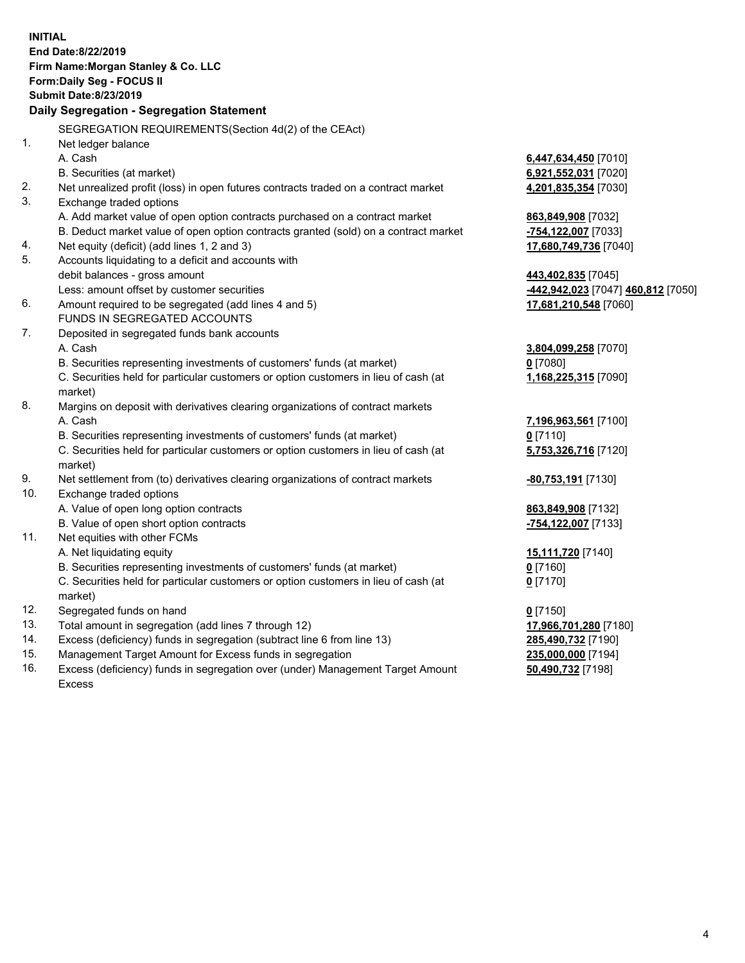|     | <b>INITIAL</b><br>End Date:8/22/2019<br>Firm Name: Morgan Stanley & Co. LLC<br>Form: Daily Seg - FOCUS II<br><b>Submit Date: 8/23/2019</b><br>Daily Segregation - Segregation Statement |                                    |
|-----|-----------------------------------------------------------------------------------------------------------------------------------------------------------------------------------------|------------------------------------|
|     | SEGREGATION REQUIREMENTS(Section 4d(2) of the CEAct)                                                                                                                                    |                                    |
| 1.  | Net ledger balance                                                                                                                                                                      |                                    |
|     | A. Cash                                                                                                                                                                                 | 6,447,634,450 [7010]               |
|     | B. Securities (at market)                                                                                                                                                               | 6,921,552,031 [7020]               |
| 2.  | Net unrealized profit (loss) in open futures contracts traded on a contract market                                                                                                      | 4,201,835,354 [7030]               |
| 3.  | Exchange traded options                                                                                                                                                                 |                                    |
|     | A. Add market value of open option contracts purchased on a contract market                                                                                                             | 863,849,908 [7032]                 |
|     | B. Deduct market value of open option contracts granted (sold) on a contract market                                                                                                     | -754,122,007 [7033]                |
| 4.  | Net equity (deficit) (add lines 1, 2 and 3)                                                                                                                                             | 17,680,749,736 [7040]              |
| 5.  | Accounts liquidating to a deficit and accounts with                                                                                                                                     |                                    |
|     | debit balances - gross amount                                                                                                                                                           | 443,402,835 [7045]                 |
|     | Less: amount offset by customer securities                                                                                                                                              | -442,942,023 [7047] 460,812 [7050] |
| 6.  | Amount required to be segregated (add lines 4 and 5)                                                                                                                                    | 17,681,210,548 [7060]              |
|     | FUNDS IN SEGREGATED ACCOUNTS                                                                                                                                                            |                                    |
| 7.  | Deposited in segregated funds bank accounts                                                                                                                                             |                                    |
|     | A. Cash                                                                                                                                                                                 | 3,804,099,258 [7070]               |
|     | B. Securities representing investments of customers' funds (at market)                                                                                                                  | $0$ [7080]                         |
|     | C. Securities held for particular customers or option customers in lieu of cash (at                                                                                                     | 1,168,225,315 [7090]               |
|     | market)                                                                                                                                                                                 |                                    |
| 8.  | Margins on deposit with derivatives clearing organizations of contract markets                                                                                                          |                                    |
|     | A. Cash                                                                                                                                                                                 | 7,196,963,561 [7100]               |
|     | B. Securities representing investments of customers' funds (at market)                                                                                                                  | $0$ [7110]                         |
|     | C. Securities held for particular customers or option customers in lieu of cash (at<br>market)                                                                                          | 5,753,326,716 [7120]               |
| 9.  | Net settlement from (to) derivatives clearing organizations of contract markets                                                                                                         | -80,753,191 [7130]                 |
| 10. | Exchange traded options                                                                                                                                                                 |                                    |
|     | A. Value of open long option contracts                                                                                                                                                  | 863,849,908 [7132]                 |
|     | B. Value of open short option contracts                                                                                                                                                 | -754,122,007 [7133]                |
| 11. | Net equities with other FCMs                                                                                                                                                            |                                    |
|     | A. Net liquidating equity                                                                                                                                                               | 15,111,720 [7140]                  |
|     | B. Securities representing investments of customers' funds (at market)                                                                                                                  | 0[7160]                            |
|     | C. Securities held for particular customers or option customers in lieu of cash (at<br>market)                                                                                          | $0$ [7170]                         |
| 12. | Segregated funds on hand                                                                                                                                                                | $0$ [7150]                         |
| 13. | Total amount in segregation (add lines 7 through 12)                                                                                                                                    | 17,966,701,280 [7180]              |
| 14. | Excess (deficiency) funds in segregation (subtract line 6 from line 13)                                                                                                                 | 285,490,732 [7190]                 |
| 15. | Management Target Amount for Excess funds in segregation                                                                                                                                | 235,000,000 [7194]                 |
| 16. | Excess (deficiency) funds in segregation over (under) Management Target Amount                                                                                                          | 50,490,732 [7198]                  |

16. Excess (deficiency) funds in segregation over (under) Management Target Amount Excess